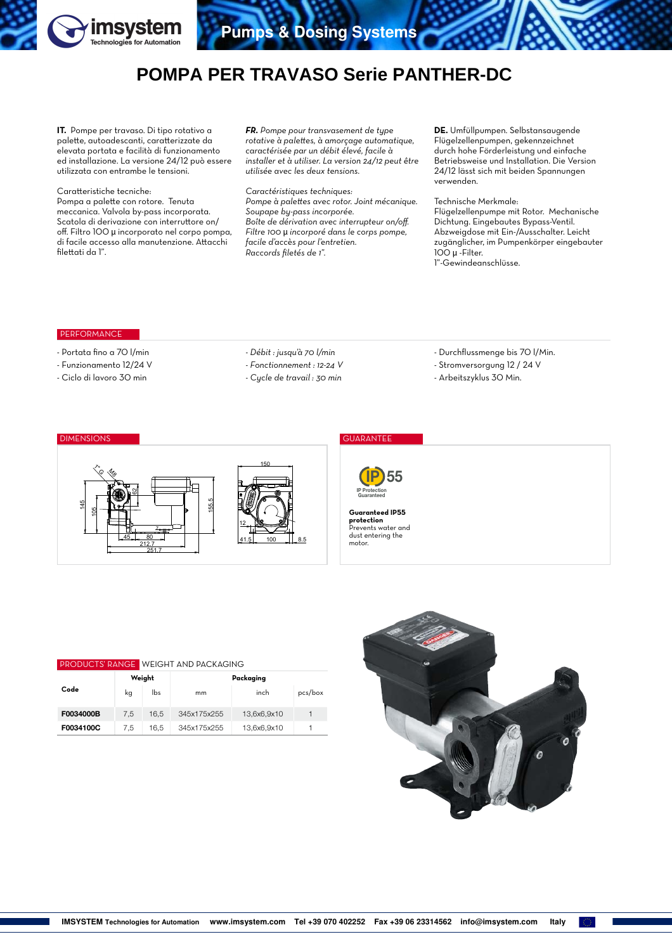

# **POMPA PER TRAVASO Serie PANTHER-DC**

**IT.** Pompe per travaso. Di tipo rotativo a palette, autoadescanti, caratterizzate da elevata portata e facilità di funzionamento ed installazione. La versione 24/12 può essere utilizzata con entrambe le tensioni.

## Caratteristiche tecniche:

Pompa a palette con rotore. Tenuta meccanica. Valvola by-pass incorporata. Scatola di derivazione con interruttore on/ off. Filtro 100 µ incorporato nel corpo pompa, di facile accesso alla manutenzione. Attacchi filettati da 1".

*FR. Pompe pour transvasement de type rotative à palettes, à amorçage automatique, caractérisée par un débit élevé, facile à installer et à utiliser. La version 24/12 peut être utilisée avec les deux tensions.*

*Caractéristiques techniques: Pompe à palettes avec rotor. Joint mécanique. Soupape by-pass incorporée. Boîte de dérivation avec interrupteur on/off. Filtre 100* µ *incorporé dans le corps pompe, facile d'accès pour l'entretien. Raccords filetés de 1".* 

**DE.** Umfüllpumpen. Selbstansaugende Flügelzellenpumpen, gekennzeichnet durch hohe Förderleistung und einfache Betriebsweise und Installation. Die Version 24/12 lässt sich mit beiden Spannungen verwenden.

Technische Merkmale: Flügelzellenpumpe mit Rotor. Mechanische Dichtung. Eingebautes Bypass-Ventil. Abzweigdose mit Ein-/Ausschalter. Leicht zugänglicher, im Pumpenkörper eingebauter 100 µ -Filter. 1"-Gewindeanschlüsse.

## PERFORMANCE

- Portata fino a 70 l/min
- Funzionamento 12/24 V
- Ciclo di lavoro 30 min

| - Débit : jusqu'à 70 l/min |  |  |  |  |  |
|----------------------------|--|--|--|--|--|
|----------------------------|--|--|--|--|--|

*- Fonctionnement : 12-24 V*

*- Cycle de travail : 30 min*

- Durchflussmenge bis 70 l/Min. - Stromversorgung 12 / 24 V
- Arbeitszyklus 30 Min.

#### 150 41.5 100 1.8.5 12 212.7<br>251.7 45 80 155.5 7  $\lesssim$ 62  $\%$ 145 105

# DIMENSIONS GUARANTEE



**Guaranteed IP55 protection** Prevents water and dust entering the

motor.

## PRODUCTS' RANGE WEIGHT AND PACKAGING

| Code      |     | Weight | Packaging   |             |         |  |  |  |  |
|-----------|-----|--------|-------------|-------------|---------|--|--|--|--|
|           | kg  | lbs    | mm          | inch        | pcs/box |  |  |  |  |
| F0034000B | 7.5 | 16.5   | 345x175x255 | 13,6x6,9x10 |         |  |  |  |  |
| F0034100C | 7.5 | 16.5   | 345x175x255 | 13,6x6,9x10 |         |  |  |  |  |